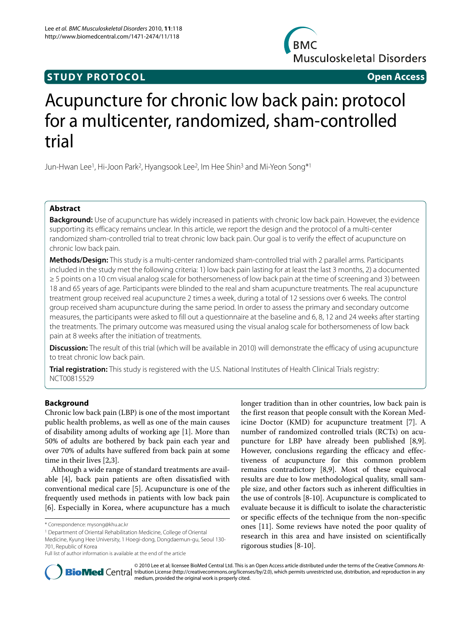# **STUDY PROTOCOL Open Access**

**BMC Musculoskeletal Disorders** 

# Acupuncture for chronic low back pain: protocol for a multicenter, randomized, sham-controlled trial

Jun-Hwan Lee1, Hi-Joon Park2, Hyangsook Lee2, Im Hee Shin3 and Mi-Yeon Song\*1

# **Abstract**

**Background:** Use of acupuncture has widely increased in patients with chronic low back pain. However, the evidence supporting its efficacy remains unclear. In this article, we report the design and the protocol of a multi-center randomized sham-controlled trial to treat chronic low back pain. Our goal is to verify the effect of acupuncture on chronic low back pain.

**Methods/Design:** This study is a multi-center randomized sham-controlled trial with 2 parallel arms. Participants included in the study met the following criteria: 1) low back pain lasting for at least the last 3 months, 2) a documented ≥ 5 points on a 10 cm visual analog scale for bothersomeness of low back pain at the time of screening and 3) between 18 and 65 years of age. Participants were blinded to the real and sham acupuncture treatments. The real acupuncture treatment group received real acupuncture 2 times a week, during a total of 12 sessions over 6 weeks. The control group received sham acupuncture during the same period. In order to assess the primary and secondary outcome measures, the participants were asked to fill out a questionnaire at the baseline and 6, 8, 12 and 24 weeks after starting the treatments. The primary outcome was measured using the visual analog scale for bothersomeness of low back pain at 8 weeks after the initiation of treatments.

**Discussion:** The result of this trial (which will be available in 2010) will demonstrate the efficacy of using acupuncture to treat chronic low back pain.

**Trial registration:** This study is registered with the U.S. National Institutes of Health Clinical Trials registry: NCT00815529

# **Background**

Chronic low back pain (LBP) is one of the most important public health problems, as well as one of the main causes of disability among adults of working age [\[1](#page-6-0)]. More than 50% of adults are bothered by back pain each year and over 70% of adults have suffered from back pain at some time in their lives [\[2](#page-6-1)[,3](#page-6-2)].

Although a wide range of standard treatments are available [\[4](#page-6-3)], back pain patients are often dissatisfied with conventional medical care [\[5](#page-6-4)]. Acupuncture is one of the frequently used methods in patients with low back pain [[6\]](#page-6-5). Especially in Korea, where acupuncture has a much

<sup>1</sup> Department of Oriental Rehabilitation Medicine, College of Oriental Medicine, Kyung Hee University, 1 Hoegi-dong, Dongdaemun-gu, Seoul 130- 701, Republic of Korea

Full list of author information is available at the end of the article

longer tradition than in other countries, low back pain is the first reason that people consult with the Korean Medicine Doctor (KMD) for acupuncture treatment [[7\]](#page-6-6). A number of randomized controlled trials (RCTs) on acupuncture for LBP have already been published [\[8](#page-6-7)[,9](#page-6-8)]. However, conclusions regarding the efficacy and effectiveness of acupuncture for this common problem remains contradictory [[8,](#page-6-7)[9\]](#page-6-8). Most of these equivocal results are due to low methodological quality, small sample size, and other factors such as inherent difficulties in the use of controls [\[8](#page-6-7)-[10](#page-6-9)]. Acupuncture is complicated to evaluate because it is difficult to isolate the characteristic or specific effects of the technique from the non-specific ones [\[11](#page-6-10)]. Some reviews have noted the poor quality of research in this area and have insisted on scientifically rigorous studies [\[8](#page-6-7)-[10\]](#page-6-9).



© 2010 Lee et al; licensee BioMed Central Ltd. This is an Open Access article distributed under the terms of the Creative Commons At-**Bio Med** Central tribution License (http://creativecommons.org/licenses/by/2.0), which permits unrestricted use, distribution, and reproduction in any medium, provided the original work is properly cited.

<sup>\*</sup> Correspondence: mysong@khu.ac.kr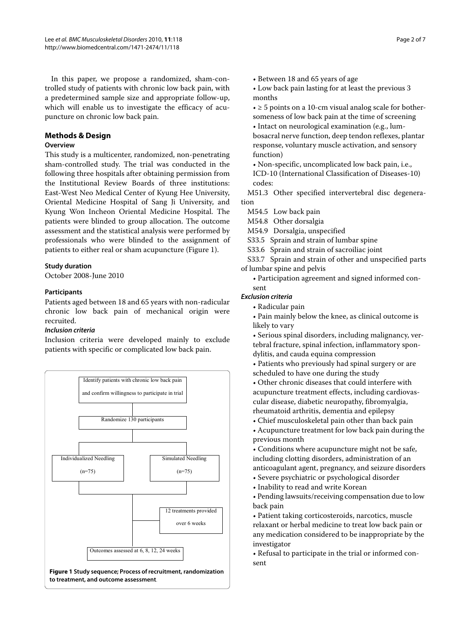# **Methods & Design**

# **Overview**

This study is a multicenter, randomized, non-penetrating sham-controlled study. The trial was conducted in the following three hospitals after obtaining permission from the Institutional Review Boards of three institutions: East-West Neo Medical Center of Kyung Hee University, Oriental Medicine Hospital of Sang Ji University, and Kyung Won Incheon Oriental Medicine Hospital. The patients were blinded to group allocation. The outcome assessment and the statistical analysis were performed by professionals who were blinded to the assignment of patients to either real or sham acupuncture (Figure [1](#page-1-0)).

# **Study duration**

October 2008-June 2010

# **Participants**

Patients aged between 18 and 65 years with non-radicular chronic low back pain of mechanical origin were recruited.

# **Inclusion criteria**

Inclusion criteria were developed mainly to exclude patients with specific or complicated low back pain.

<span id="page-1-0"></span>

**to treatment, and outcome assessment**.

- Between 18 and 65 years of age
- Low back pain lasting for at least the previous 3 months

• ≥ 5 points on a 10-cm visual analog scale for bothersomeness of low back pain at the time of screening • Intact on neurological examination (e.g., lumbosacral nerve function, deep tendon reflexes, plantar response, voluntary muscle activation, and sensory function)

• Non-specific, uncomplicated low back pain, i.e., ICD-10 (International Classification of Diseases-10)

codes:

M51.3 Other specified intervertebral disc degeneration

M54.5 Low back pain

M54.8 Other dorsalgia

M54.9 Dorsalgia, unspecified

S33.5 Sprain and strain of lumbar spine

S33.6 Sprain and strain of sacroiliac joint

S33.7 Sprain and strain of other and unspecified parts of lumbar spine and pelvis

• Participation agreement and signed informed consent

# **Exclusion criteria**

• Radicular pain

• Pain mainly below the knee, as clinical outcome is likely to vary

• Serious spinal disorders, including malignancy, vertebral fracture, spinal infection, inflammatory spondylitis, and cauda equina compression

• Patients who previously had spinal surgery or are scheduled to have one during the study

• Other chronic diseases that could interfere with acupuncture treatment effects, including cardiovascular disease, diabetic neuropathy, fibromyalgia, rheumatoid arthritis, dementia and epilepsy

• Chief musculoskeletal pain other than back pain

• Acupuncture treatment for low back pain during the previous month

• Conditions where acupuncture might not be safe, including clotting disorders, administration of an anticoagulant agent, pregnancy, and seizure disorders

• Severe psychiatric or psychological disorder

• Inability to read and write Korean

• Pending lawsuits/receiving compensation due to low back pain

• Patient taking corticosteroids, narcotics, muscle relaxant or herbal medicine to treat low back pain or any medication considered to be inappropriate by the investigator

• Refusal to participate in the trial or informed consent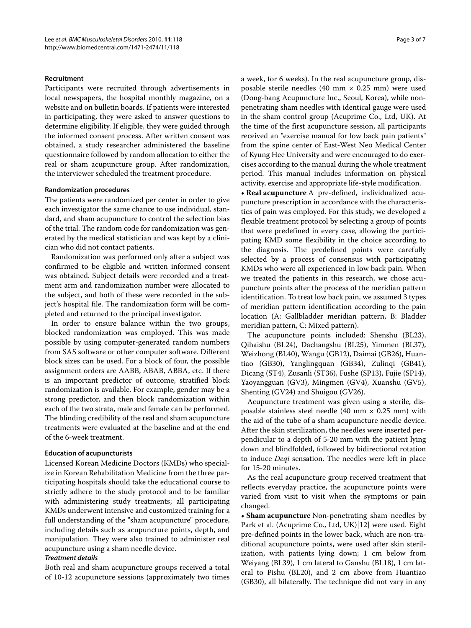#### **Recruitment**

Participants were recruited through advertisements in local newspapers, the hospital monthly magazine, on a website and on bulletin boards. If patients were interested in participating, they were asked to answer questions to determine eligibility. If eligible, they were guided through the informed consent process. After written consent was obtained, a study researcher administered the baseline questionnaire followed by random allocation to either the real or sham acupuncture group. After randomization, the interviewer scheduled the treatment procedure.

# **Randomization procedures**

The patients were randomized per center in order to give each investigator the same chance to use individual, standard, and sham acupuncture to control the selection bias of the trial. The random code for randomization was generated by the medical statistician and was kept by a clinician who did not contact patients.

Randomization was performed only after a subject was confirmed to be eligible and written informed consent was obtained. Subject details were recorded and a treatment arm and randomization number were allocated to the subject, and both of these were recorded in the subject's hospital file. The randomization form will be completed and returned to the principal investigator.

In order to ensure balance within the two groups, blocked randomization was employed. This was made possible by using computer-generated random numbers from SAS software or other computer software. Different block sizes can be used. For a block of four, the possible assignment orders are AABB, ABAB, ABBA, etc. If there is an important predictor of outcome, stratified block randomization is available. For example, gender may be a strong predictor, and then block randomization within each of the two strata, male and female can be performed. The blinding credibility of the real and sham acupuncture treatments were evaluated at the baseline and at the end of the 6-week treatment.

#### **Education of acupuncturists**

Licensed Korean Medicine Doctors (KMDs) who specialize in Korean Rehabilitation Medicine from the three participating hospitals should take the educational course to strictly adhere to the study protocol and to be familiar with administering study treatments; all participating KMDs underwent intensive and customized training for a full understanding of the "sham acupuncture" procedure, including details such as acupuncture points, depth, and manipulation. They were also trained to administer real acupuncture using a sham needle device.

# **Treatment details**

Both real and sham acupuncture groups received a total of 10-12 acupuncture sessions (approximately two times

a week, for 6 weeks). In the real acupuncture group, disposable sterile needles (40 mm  $\times$  0.25 mm) were used (Dong-bang Acupuncture Inc., Seoul, Korea), while nonpenetrating sham needles with identical gauge were used in the sham control group (Acuprime Co., Ltd, UK). At the time of the first acupuncture session, all participants received an "exercise manual for low back pain patients" from the spine center of East-West Neo Medical Center of Kyung Hee University and were encouraged to do exercises according to the manual during the whole treatment period. This manual includes information on physical activity, exercise and appropriate life-style modification.

**• Real acupuncture** A pre-defined, individualized acupuncture prescription in accordance with the characteristics of pain was employed. For this study, we developed a flexible treatment protocol by selecting a group of points that were predefined in every case, allowing the participating KMD some flexibility in the choice according to the diagnosis. The predefined points were carefully selected by a process of consensus with participating KMDs who were all experienced in low back pain. When we treated the patients in this research, we chose acupuncture points after the process of the meridian pattern identification. To treat low back pain, we assumed 3 types of meridian pattern identification according to the pain location (A: Gallbladder meridian pattern, B: Bladder meridian pattern, C: Mixed pattern).

The acupuncture points included: Shenshu (BL23), Qihaishu (BL24), Dachangshu (BL25), Yimmen (BL37), Weizhong (BL40), Wangu (GB12), Daimai (GB26), Huantiao (GB30), Yanglingquan (GB34), Zulinqi (GB41), Dicang (ST4), Zusanli (ST36), Fushe (SP13), Fujie (SP14), Yaoyangguan (GV3), Mingmen (GV4), Xuanshu (GV5), Shenting (GV24) and Shuigou (GV26).

Acupuncture treatment was given using a sterile, disposable stainless steel needle (40 mm  $\times$  0.25 mm) with the aid of the tube of a sham acupuncture needle device. After the skin sterilization, the needles were inserted perpendicular to a depth of 5-20 mm with the patient lying down and blindfolded, followed by bidirectional rotation to induce *Deqi* sensation. The needles were left in place for 15-20 minutes.

As the real acupuncture group received treatment that reflects everyday practice, the acupuncture points were varied from visit to visit when the symptoms or pain changed.

**• Sham acupuncture** Non-penetrating sham needles by Park et al. (Acuprime Co., Ltd, UK)[[12](#page-6-11)] were used. Eight pre-defined points in the lower back, which are non-traditional acupuncture points, were used after skin sterilization, with patients lying down; 1 cm below from Weiyang (BL39), 1 cm lateral to Ganshu (BL18), 1 cm lateral to Pishu (BL20), and 2 cm above from Huantiao (GB30), all bilaterally. The technique did not vary in any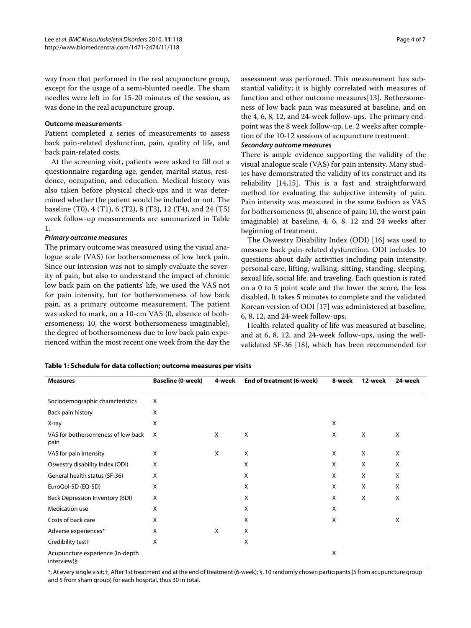way from that performed in the real acupuncture group, except for the usage of a semi-blunted needle. The sham needles were left in for 15-20 minutes of the session, as was done in the real acupuncture group.

## **Outcome measurements**

Patient completed a series of measurements to assess back pain-related dysfunction, pain, quality of life, and back pain-related costs.

At the screening visit, patients were asked to fill out a questionnaire regarding age, gender, marital status, residence, occupation, and education. Medical history was also taken before physical check-ups and it was determined whether the patient would be included or not. The baseline (T0), 4 (T1), 6 (T2), 8 (T3), 12 (T4), and 24 (T5) week follow-up measurements are summarized in Table 1.

#### **Primary outcome measures**

The primary outcome was measured using the visual analogue scale (VAS) for bothersomeness of low back pain. Since our intension was not to simply evaluate the severity of pain, but also to understand the impact of chronic low back pain on the patients' life, we used the VAS not for pain intensity, but for bothersomeness of low back pain, as a primary outcome measurement. The patient was asked to mark, on a 10-cm VAS (0, absence of bothersomeness; 10, the worst bothersomeness imaginable), the degree of bothersomeness due to low back pain experienced within the most recent one week from the day the

assessment was performed. This measurement has substantial validity; it is highly correlated with measures of function and other outcome measures[[13\]](#page-6-12). Bothersomeness of low back pain was measured at baseline, and on the 4, 6, 8, 12, and 24-week follow-ups. The primary endpoint was the 8 week follow-up, i.e. 2 weeks after completion of the 10-12 sessions of acupuncture treatment.

#### **Secondary outcome measures**

There is ample evidence supporting the validity of the visual analogue scale (VAS) for pain intensity. Many studies have demonstrated the validity of its construct and its reliability [\[14](#page-6-13)[,15](#page-6-14)]. This is a fast and straightforward method for evaluating the subjective intensity of pain. Pain intensity was measured in the same fashion as VAS for bothersomeness (0, absence of pain; 10, the worst pain imaginable) at baseline, 4, 6, 8, 12 and 24 weeks after beginning of treatment.

The Oswestry Disability Index (ODI) [\[16](#page-6-15)] was used to measure back pain-related dysfunction. ODI includes 10 questions about daily activities including pain intensity, personal care, lifting, walking, sitting, standing, sleeping, sexual life, social life, and traveling. Each question is rated on a 0 to 5 point scale and the lower the score, the less disabled. It takes 5 minutes to complete and the validated Korean version of ODI [[17](#page-6-16)] was administered at baseline, 6, 8, 12, and 24-week follow-ups.

Health-related quality of life was measured at baseline, and at 6, 8, 12, and 24-week follow-ups, using the wellvalidated SF-36 [[18\]](#page-6-17), which has been recommended for

| <b>Measures</b>                                 | <b>Baseline (0-week)</b> | 4-week | End of treatment (6-week) | 8-week | 12-week | 24-week |
|-------------------------------------------------|--------------------------|--------|---------------------------|--------|---------|---------|
| Sociodemographic characteristics                | X                        |        |                           |        |         |         |
| Back pain history                               | X                        |        |                           |        |         |         |
| X-ray                                           | X                        |        |                           | х      |         |         |
| VAS for bothersomeness of low back<br>pain      | X                        | X      | X                         | X      | X       | X       |
| VAS for pain intensity                          | X                        | X      | X                         | X      | X       | X       |
| Oswestry disability Index (ODI)                 | X                        |        | X                         | X      | X       | X       |
| General health status (SF-36)                   | X                        |        | X                         | X      | X       | X       |
| EuroQol-5D (EQ-5D)                              | X                        |        | X                         | X      | X       | X       |
| Beck Depression Inventory (BDI)                 | X                        |        | X                         | Χ      | X       | X       |
| Medication use                                  | X                        |        | X                         | X      |         |         |
| Costs of back care                              | X                        |        | X                         | Χ      |         | Χ       |
| Adverse experiences*                            | X                        | X      | X                         |        |         |         |
| Credibility test <sup>+</sup>                   | X                        |        | Χ                         |        |         |         |
| Acupuncture experience (In-depth<br>interview)§ |                          |        |                           | X      |         |         |

**Table 1: Schedule for data collection; outcome measures per visits**

\*, At every single visit; †, After 1st treatment and at the end of treatment (6-week); §, 10 randomly chosen participants (5 from acupuncture group and 5 from sham group) for each hospital, thus 30 in total.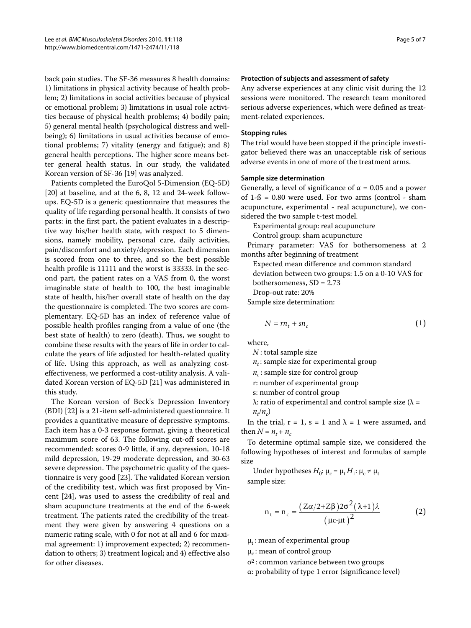back pain studies. The SF-36 measures 8 health domains: 1) limitations in physical activity because of health problem; 2) limitations in social activities because of physical or emotional problem; 3) limitations in usual role activities because of physical health problems; 4) bodily pain; 5) general mental health (psychological distress and wellbeing); 6) limitations in usual activities because of emotional problems; 7) vitality (energy and fatigue); and 8) general health perceptions. The higher score means better general health status. In our study, the validated Korean version of SF-36 [\[19](#page-6-18)] was analyzed.

Patients completed the EuroQol 5-Dimension (EQ-5D) [[20\]](#page-6-19) at baseline, and at the 6, 8, 12 and 24-week followups. EQ-5D is a generic questionnaire that measures the quality of life regarding personal health. It consists of two parts: in the first part, the patient evaluates in a descriptive way his/her health state, with respect to 5 dimensions, namely mobility, personal care, daily activities, pain/discomfort and anxiety/depression. Each dimension is scored from one to three, and so the best possible health profile is 11111 and the worst is 33333. In the second part, the patient rates on a VAS from 0, the worst imaginable state of health to 100, the best imaginable state of health, his/her overall state of health on the day the questionnaire is completed. The two scores are complementary. EQ-5D has an index of reference value of possible health profiles ranging from a value of one (the best state of health) to zero (death). Thus, we sought to combine these results with the years of life in order to calculate the years of life adjusted for health-related quality of life. Using this approach, as well as analyzing costeffectiveness, we performed a cost-utility analysis. A validated Korean version of EQ-5D [\[21](#page-6-20)] was administered in this study.

The Korean version of Beck's Depression Inventory (BDI) [\[22\]](#page-6-21) is a 21-item self-administered questionnaire. It provides a quantitative measure of depressive symptoms. Each item has a 0-3 response format, giving a theoretical maximum score of 63. The following cut-off scores are recommended: scores 0-9 little, if any, depression, 10-18 mild depression, 19-29 moderate depression, and 30-63 severe depression. The psychometric quality of the questionnaire is very good [[23\]](#page-6-22). The validated Korean version of the credibility test, which was first proposed by Vincent [\[24\]](#page-6-23), was used to assess the credibility of real and sham acupuncture treatments at the end of the 6-week treatment. The patients rated the credibility of the treatment they were given by answering 4 questions on a numeric rating scale, with 0 for not at all and 6 for maximal agreement: 1) improvement expected; 2) recommendation to others; 3) treatment logical; and 4) effective also for other diseases.

# **Protection of subjects and assessment of safety**

Any adverse experiences at any clinic visit during the 12 sessions were monitored. The research team monitored serious adverse experiences, which were defined as treatment-related experiences.

#### **Stopping rules**

The trial would have been stopped if the principle investigator believed there was an unacceptable risk of serious adverse events in one of more of the treatment arms.

#### **Sample size determination**

Generally, a level of significance of  $\alpha = 0.05$  and a power of  $1-\sqrt{6}$  = 0.80 were used. For two arms (control - sham acupuncture, experimental - real acupuncture), we considered the two sample t-test model.

Experimental group: real acupuncture

Control group: sham acupuncture

Primary parameter: VAS for bothersomeness at 2 months after beginning of treatment

Expected mean difference and common standard deviation between two groups: 1.5 on a 0-10 VAS for bothersomeness, SD = 2.73

Drop-out rate: 20%

Sample size determination:

$$
N = rn_t + sn_c \tag{1}
$$

where,

*N* : total sample size

 $n_t$ : sample size for experimental group

 $n_c$ : sample size for control group

r: number of experimental group

- s: number of control group
- λ: ratio of experimental and control sample size (λ =  $n_t/n_c$

In the trial,  $r = 1$ ,  $s = 1$  and  $\lambda = 1$  were assumed, and then  $N = n_t + n_c$ 

To determine optimal sample size, we considered the following hypotheses of interest and formulas of sample size

Under hypotheses  $H_0$ :  $\mu_c = \mu_t H_1$ :  $\mu_c \neq \mu_t$ sample size:

$$
n_{t} = n_{c} = \frac{(Z\alpha/2 + Z\beta)2\sigma^{2}(\lambda + 1)\lambda}{(\mu c - \mu t)^{2}}
$$
 (2)

 $\mu_t$ : mean of experimental group

 $\mu_c$ : mean of control group

σ2 : common variance between two groups

α: probability of type 1 error (significance level)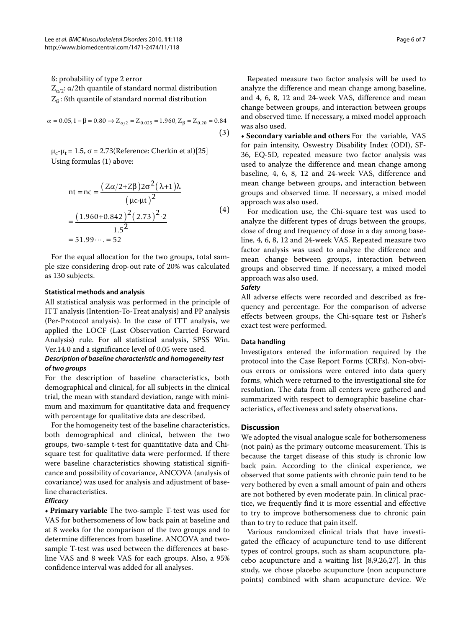ß: probability of type 2 error  $Z_{\alpha/2}$ :  $\alpha/2$ th quantile of standard normal distribution  $Z_{\alpha}$ : ßth quantile of standard normal distribution

$$
\alpha = 0.05, 1 - \beta = 0.80 \rightarrow Z_{\alpha/2} = Z_{0.025} = 1.960, Z_{\beta} = Z_{0.20} = 0.84
$$
\n(3)

 $μ<sub>c</sub> - μ<sub>t</sub> = 1.5, σ = 2.73(Reference: Cherkin et al)[25]$  $μ<sub>c</sub> - μ<sub>t</sub> = 1.5, σ = 2.73(Reference: Cherkin et al)[25]$  $μ<sub>c</sub> - μ<sub>t</sub> = 1.5, σ = 2.73(Reference: Cherkin et al)[25]$ Using formulas (1) above:

nt = nc = 
$$
\frac{(Z\alpha/2+Z\beta)2\sigma^2(\lambda+1)\lambda}{(\mu c\text{-} \mu t)^2}
$$

$$
=\frac{(1.960+0.842)^2(2.73)^2\cdot 2}{1.5^2}
$$

$$
= 51.99\cdots = 52
$$
 (4)

For the equal allocation for the two groups, total sample size considering drop-out rate of 20% was calculated as 130 subjects.

### **Statistical methods and analysis**

All statistical analysis was performed in the principle of ITT analysis (Intention-To-Treat analysis) and PP analysis (Per-Protocol analysis). In the case of ITT analysis, we applied the LOCF (Last Observation Carried Forward Analysis) rule. For all statistical analysis, SPSS Win. Ver.14.0 and a significance level of 0.05 were used.

# **Description of baseline characteristic and homogeneity test of two groups**

For the description of baseline characteristics, both demographical and clinical, for all subjects in the clinical trial, the mean with standard deviation, range with minimum and maximum for quantitative data and frequency with percentage for qualitative data are described.

For the homogeneity test of the baseline characteristics, both demographical and clinical, between the two groups, two-sample t-test for quantitative data and Chisquare test for qualitative data were performed. If there were baseline characteristics showing statistical significance and possibility of covariance, ANCOVA (analysis of covariance) was used for analysis and adjustment of baseline characteristics.

### **Efficacy**

**• Primary variable** The two-sample T-test was used for VAS for bothersomeness of low back pain at baseline and at 8 weeks for the comparison of the two groups and to determine differences from baseline. ANCOVA and twosample T-test was used between the differences at baseline VAS and 8 week VAS for each groups. Also, a 95% confidence interval was added for all analyses.

Repeated measure two factor analysis will be used to analyze the difference and mean change among baseline, and 4, 6, 8, 12 and 24-week VAS, difference and mean change between groups, and interaction between groups and observed time. If necessary, a mixed model approach was also used.

**• Secondary variable and others** For the variable, VAS for pain intensity, Oswestry Disability Index (ODI), SF-36, EQ-5D, repeated measure two factor analysis was used to analyze the difference and mean change among baseline, 4, 6, 8, 12 and 24-week VAS, difference and mean change between groups, and interaction between groups and observed time. If necessary, a mixed model approach was also used.

For medication use, the Chi-square test was used to analyze the different types of drugs between the groups, dose of drug and frequency of dose in a day among baseline, 4, 6, 8, 12 and 24-week VAS. Repeated measure two factor analysis was used to analyze the difference and mean change between groups, interaction between groups and observed time. If necessary, a mixed model approach was also used.

### **Safety**

All adverse effects were recorded and described as frequency and percentage. For the comparison of adverse effects between groups, the Chi-square test or Fisher's exact test were performed.

# **Data handling**

Investigators entered the information required by the protocol into the Case Report Forms (CRFs). Non-obvious errors or omissions were entered into data query forms, which were returned to the investigational site for resolution. The data from all centers were gathered and summarized with respect to demographic baseline characteristics, effectiveness and safety observations.

## **Discussion**

We adopted the visual analogue scale for bothersomeness (not pain) as the primary outcome measurement. This is because the target disease of this study is chronic low back pain. According to the clinical experience, we observed that some patients with chronic pain tend to be very bothered by even a small amount of pain and others are not bothered by even moderate pain. In clinical practice, we frequently find it is more essential and effective to try to improve bothersomeness due to chronic pain than to try to reduce that pain itself.

Various randomized clinical trials that have investigated the efficacy of acupuncture tend to use different types of control groups, such as sham acupuncture, placebo acupuncture and a waiting list [[8](#page-6-7)[,9](#page-6-8)[,26](#page-6-25)[,27](#page-6-26)]. In this study, we chose placebo acupuncture (non acupuncture points) combined with sham acupuncture device. We